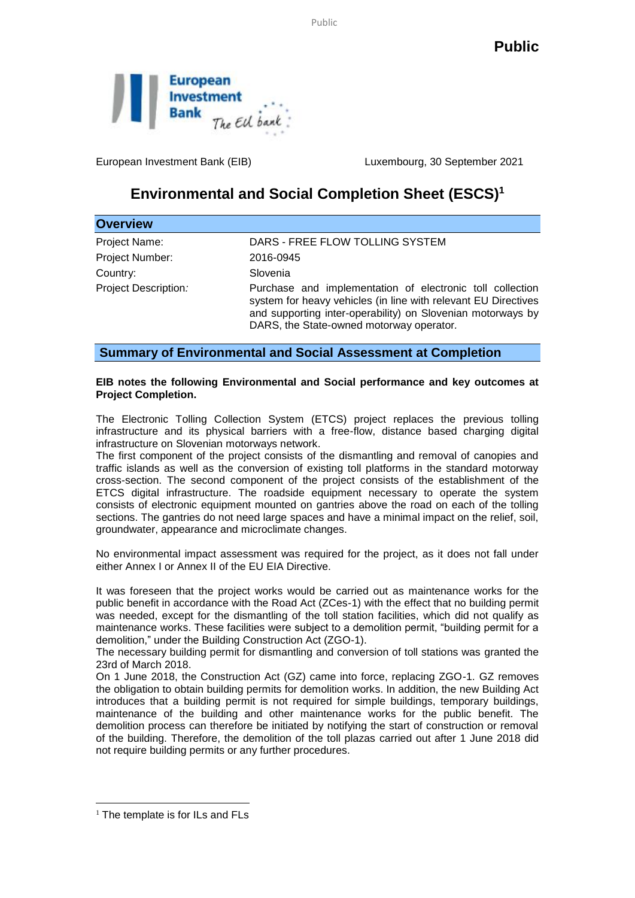Public



European Investment Bank (EIB) Luxembourg, 30 September 2021

## **Environmental and Social Completion Sheet (ESCS)<sup>1</sup>**

| <b>Overview</b>      |                                                                                                                                                                                                                                        |
|----------------------|----------------------------------------------------------------------------------------------------------------------------------------------------------------------------------------------------------------------------------------|
| Project Name:        | DARS - FREE FLOW TOLLING SYSTEM                                                                                                                                                                                                        |
| Project Number:      | 2016-0945                                                                                                                                                                                                                              |
| Country:             | Slovenia                                                                                                                                                                                                                               |
| Project Description: | Purchase and implementation of electronic toll collection<br>system for heavy vehicles (in line with relevant EU Directives<br>and supporting inter-operability) on Slovenian motorways by<br>DARS, the State-owned motorway operator. |

**Summary of Environmental and Social Assessment at Completion**

## **EIB notes the following Environmental and Social performance and key outcomes at Project Completion.**

The Electronic Tolling Collection System (ETCS) project replaces the previous tolling infrastructure and its physical barriers with a free-flow, distance based charging digital infrastructure on Slovenian motorways network.

The first component of the project consists of the dismantling and removal of canopies and traffic islands as well as the conversion of existing toll platforms in the standard motorway cross-section. The second component of the project consists of the establishment of the ETCS digital infrastructure. The roadside equipment necessary to operate the system consists of electronic equipment mounted on gantries above the road on each of the tolling sections. The gantries do not need large spaces and have a minimal impact on the relief, soil, groundwater, appearance and microclimate changes.

No environmental impact assessment was required for the project, as it does not fall under either Annex I or Annex II of the EU EIA Directive.

It was foreseen that the project works would be carried out as maintenance works for the public benefit in accordance with the Road Act (ZCes-1) with the effect that no building permit was needed, except for the dismantling of the toll station facilities, which did not qualify as maintenance works. These facilities were subject to a demolition permit, "building permit for a demolition," under the Building Construction Act (ZGO-1).

The necessary building permit for dismantling and conversion of toll stations was granted the 23rd of March 2018.

On 1 June 2018, the Construction Act (GZ) came into force, replacing ZGO-1. GZ removes the obligation to obtain building permits for demolition works. In addition, the new Building Act introduces that a building permit is not required for simple buildings, temporary buildings, maintenance of the building and other maintenance works for the public benefit. The demolition process can therefore be initiated by notifying the start of construction or removal of the building. Therefore, the demolition of the toll plazas carried out after 1 June 2018 did not require building permits or any further procedures.

<u>.</u>

 $<sup>1</sup>$  The template is for ILs and FLs</sup>